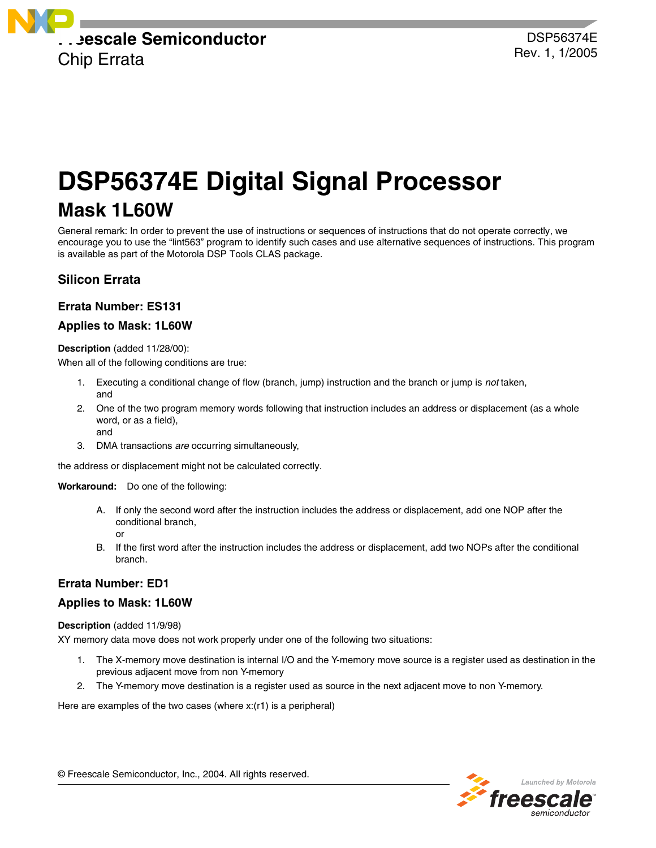

# **DSP56374E Digital Signal Processor**

# **Mask 1L60W**

General remark: In order to prevent the use of instructions or sequences of instructions that do not operate correctly, we encourage you to use the "lint563" program to identify such cases and use alternative sequences of instructions. This program is available as part of the Motorola DSP Tools CLAS package.

## **Silicon Errata**

## **Errata Number: ES131**

## **Applies to Mask: 1L60W**

**Description** (added 11/28/00):

When all of the following conditions are true:

- 1. Executing a conditional change of flow (branch, jump) instruction and the branch or jump is *not* taken, and
- 2. One of the two program memory words following that instruction includes an address or displacement (as a whole word, or as a field), and
- 3. DMA transactions *are* occurring simultaneously,

the address or displacement might not be calculated correctly.

**Workaround:** Do one of the following:

- A. If only the second word after the instruction includes the address or displacement, add one NOP after the conditional branch, or
- B. If the first word after the instruction includes the address or displacement, add two NOPs after the conditional branch.

## **Errata Number: ED1**

## **Applies to Mask: 1L60W**

**Description** (added 11/9/98)

XY memory data move does not work properly under one of the following two situations:

- 1. The X-memory move destination is internal I/O and the Y-memory move source is a register used as destination in the previous adjacent move from non Y-memory
- 2. The Y-memory move destination is a register used as source in the next adjacent move to non Y-memory.

Here are examples of the two cases (where x:(r1) is a peripheral)



© Freescale Semiconductor, Inc., 2004. All rights reserved.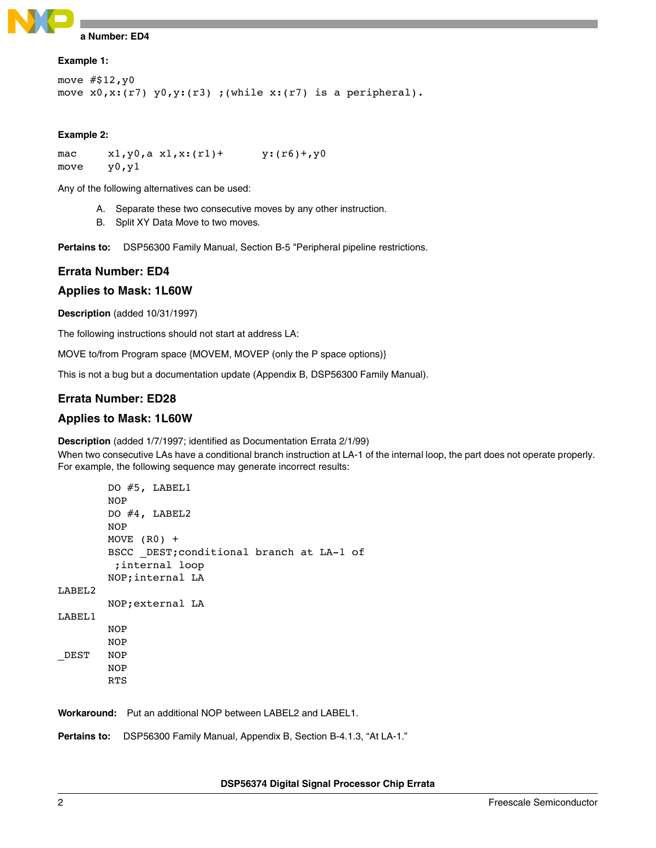

# **Example 1:**

```
move # $12, y0move x0, x: (r7) y0, y: (r3) ; (while x: (r7) is a peripheral).
```
#### **Example 2:**

```
mac x1, y0, a x1, x:(r1)+ y:(r6)+, y0move y0,y1
```
Any of the following alternatives can be used:

- A. Separate these two consecutive moves by any other instruction.
- B. Split XY Data Move to two moves.

**Pertains to:** DSP56300 Family Manual, Section B-5 "Peripheral pipeline restrictions.

#### **Errata Number: ED4**

#### **Applies to Mask: 1L60W**

**Description** (added 10/31/1997)

The following instructions should not start at address LA:

MOVE to/from Program space {MOVEM, MOVEP (only the P space options)}

This is not a bug but a documentation update (Appendix B, DSP56300 Family Manual).

#### **Errata Number: ED28**

#### **Applies to Mask: 1L60W**

**Description** (added 1/7/1997; identified as Documentation Errata 2/1/99)

When two consecutive LAs have a conditional branch instruction at LA-1 of the internal loop, the part does not operate properly. For example, the following sequence may generate incorrect results:

```
DO #5, LABEL1
        NOP
        DO #4, LABEL2
        NOP 
        MOVE (R0) +
        BSCC _DEST;conditional branch at LA-1 of 
          ;internal loop
        NOP;internal LA
LABEL2
        NOP;external LA
LABEL1
        NOP 
        NOP 
_DEST NOP
        NOP 
        RTS
```
**Workaround:** Put an additional NOP between LABEL2 and LABEL1.

**Pertains to:** DSP56300 Family Manual, Appendix B, Section B-4.1.3, "At LA-1."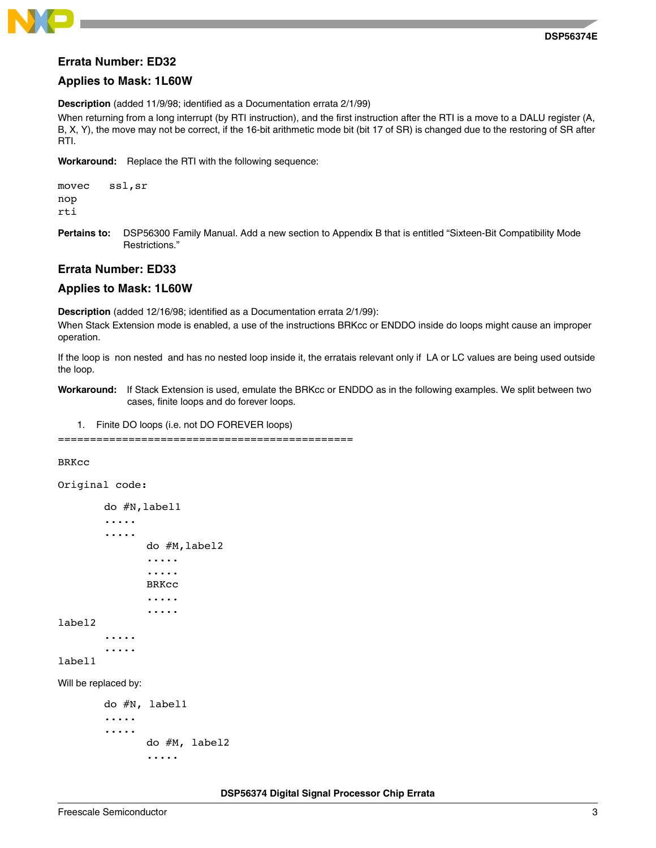

#### **Errata Number: ED32**

#### **Applies to Mask: 1L60W**

**Description** (added 11/9/98; identified as a Documentation errata 2/1/99)

When returning from a long interrupt (by RTI instruction), and the first instruction after the RTI is a move to a DALU register (A, B, X, Y), the move may not be correct, if the 16-bit arithmetic mode bit (bit 17 of SR) is changed due to the restoring of SR after RTI.

**Workaround:** Replace the RTI with the following sequence:

movec ssl,sr nop rti

**Pertains to:** DSP56300 Family Manual. Add a new section to Appendix B that is entitled "Sixteen-Bit Compatibility Mode Restrictions."

#### **Errata Number: ED33**

#### **Applies to Mask: 1L60W**

**Description** (added 12/16/98; identified as a Documentation errata 2/1/99):

When Stack Extension mode is enabled, a use of the instructions BRKcc or ENDDO inside do loops might cause an improper operation.

If the loop is non nested and has no nested loop inside it, the erratais relevant only if LA or LC values are being used outside the loop.

**Workaround:** If Stack Extension is used, emulate the BRKcc or ENDDO as in the following examples. We split between two cases, finite loops and do forever loops.

1. Finite DO loops (i.e. not DO FOREVER loops)

==============================================

#### BRKcc

```
Original code:
```

```
do #N,label1
        .....
        .....
                do #M,label2
                .....
                .....
                BRKcc
                .....
                .....
label2
        .....
        .....
label1
```
Will be replaced by:

```
do #N, label1
.....
.....
       do #M, label2
       .....
```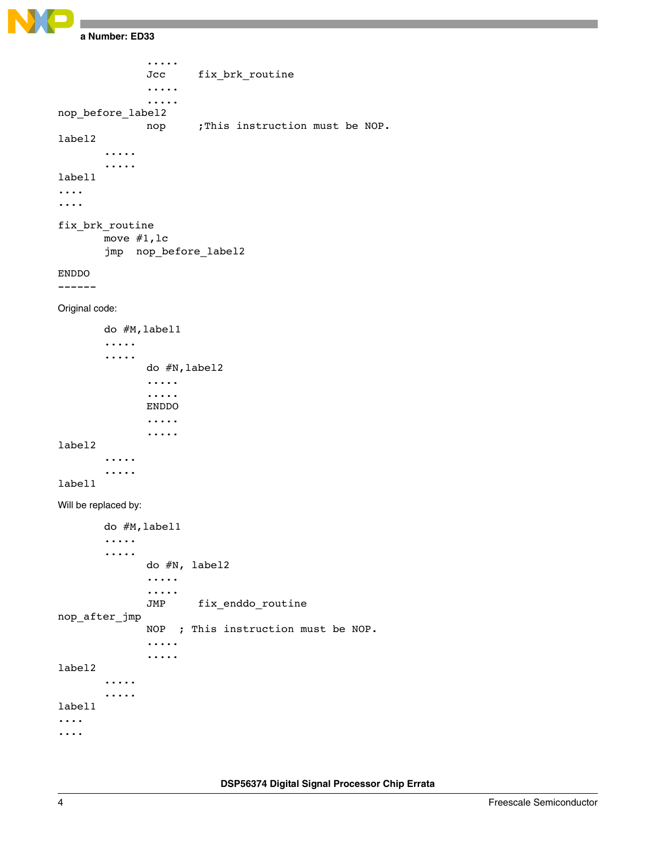```
Errata Number: ED33
```
..... Jcc fix\_brk\_routine ..... ..... nop\_before\_label2 nop ; This instruction must be NOP. label2 ..... ..... label1 .... .... fix\_brk\_routine move #1,lc jmp nop\_before\_label2 ENDDO ------ Original code: do #M,label1 ..... ..... do #N,label2 ..... ..... ENDDO ..... ..... label2 ..... ..... label1 Will be replaced by: do #M,label1 ..... ..... do #N, label2 ..... ..... JMP fix\_enddo\_routine nop\_after\_jmp NOP ; This instruction must be NOP. ..... ..... label2 ..... ..... label1 .... ....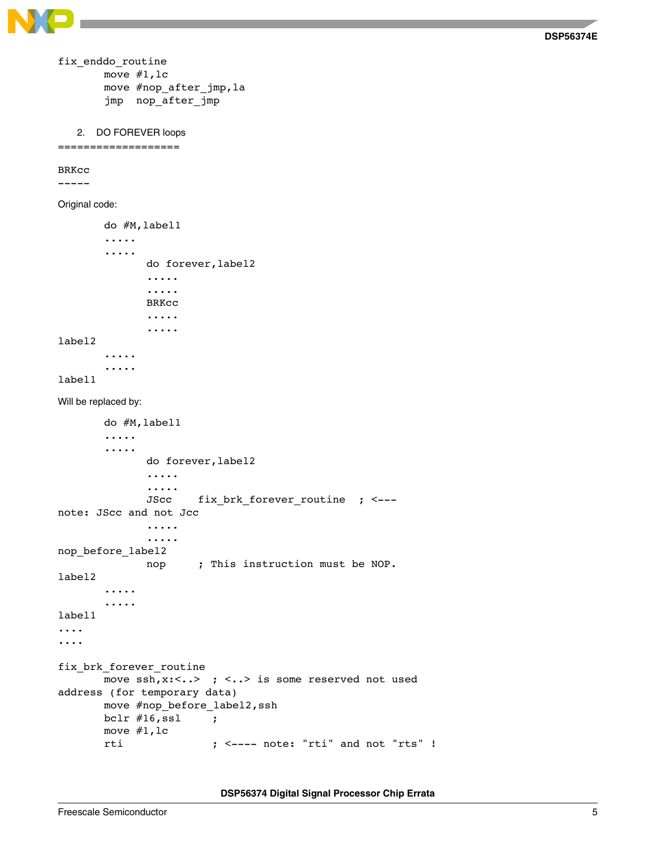

```
fix_enddo_routine
       move #1,lc
       move #nop_after_jmp,la
       jmp nop_after_jmp
```

```
2. DO FOREVER loops
```

```
===================
```
BRKcc

-----

Original code:

```
do #M,label1
        .....
        .....
               do forever,label2
               .....
               .....
               BRKcc
               .....
               .....
label2
        .....
        .....
label1
```
Will be replaced by:

```
do #M,label1
       .....
       .....
             do forever,label2
             .....
             .....
             JScc fix_brk_forever_routine ; <--- 
note: JScc and not Jcc
             .....
             .....
nop_before_label2
             nop ; This instruction must be NOP.
label2
       .....
       .....
label1
....
....
fix brk forever routine
       move ssh, x:<..> ; <..> is some reserved not used
address (for temporary data)
       move #nop_before_label2,ssh
       bclr #16,ssl ;
       move #1,lc
       rti ; <---- note: "rti" and not "rts" !
```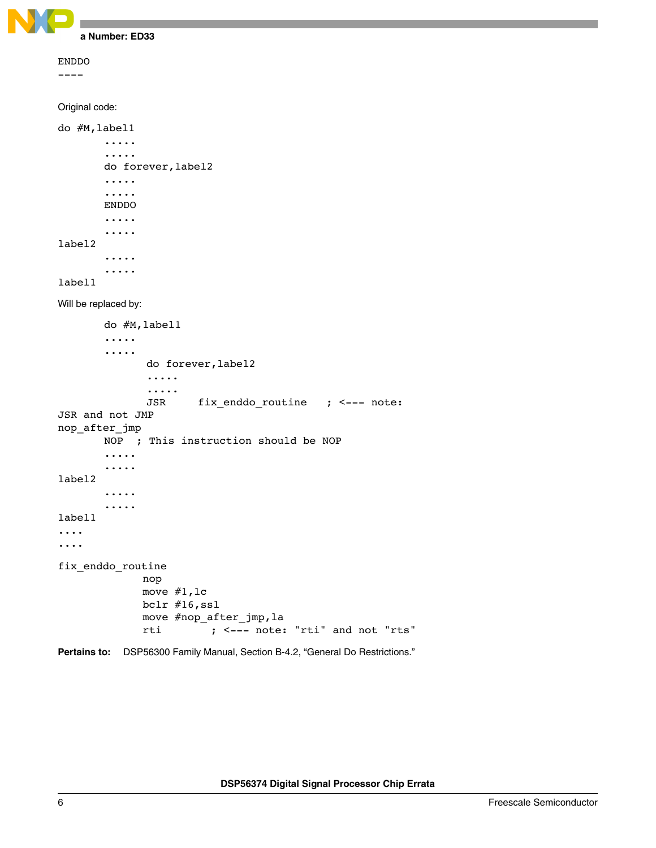```
Errata Number: ED33
ENDDO
---- 
Original code:
do #M,label1
        .....
        .....
        do forever,label2
        .....
        .....
       ENDDO
        .....
        .....
label2
        .....
        .....
label1
Will be replaced by:
        do #M,label1
        .....
        .....
               do forever,label2
               .....
               .....
               JSR fix_enddo_routine ; <--- note: 
JSR and not JMP
nop_after_jmp
       NOP ; This instruction should be NOP
        .....
        .....
label2
        .....
        .....
label1
....
....
fix_enddo_routine
              nop
              move #1,lc
              bclr #16,ssl
              move #nop_after_jmp,la
              rti ; <--- note: "rti" and not "rts"
Pertains to: DSP56300 Family Manual, Section B-4.2, "General Do Restrictions."
```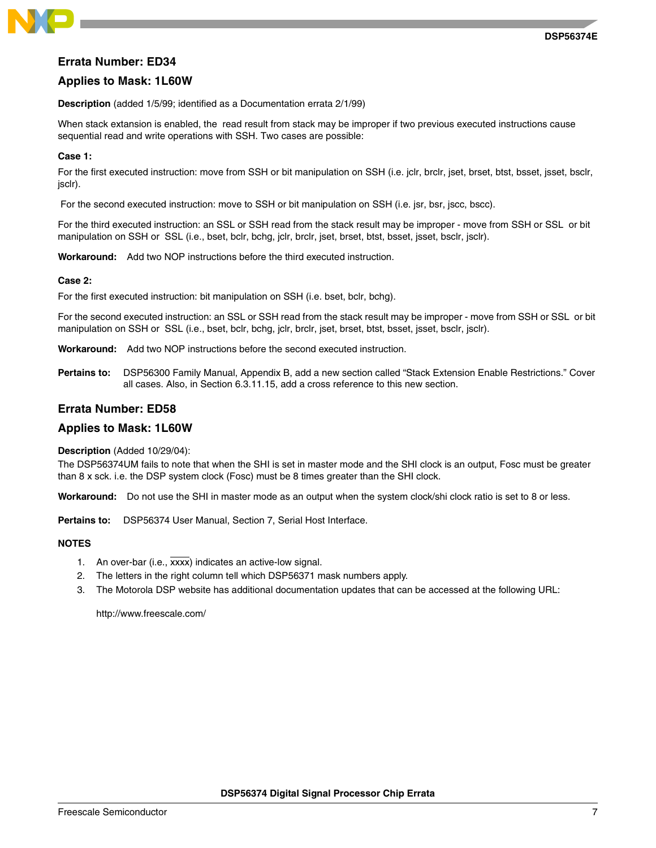

#### **Errata Number: ED34**

#### **Applies to Mask: 1L60W**

**Description** (added 1/5/99; identified as a Documentation errata 2/1/99)

When stack extansion is enabled, the read result from stack may be improper if two previous executed instructions cause sequential read and write operations with SSH. Two cases are possible:

#### **Case 1:**

For the first executed instruction: move from SSH or bit manipulation on SSH (i.e. jclr, brclr, jset, brset, btst, bsset, jsset, bsclr, jsclr).

For the second executed instruction: move to SSH or bit manipulation on SSH (i.e. jsr, bsr, jscc, bscc).

For the third executed instruction: an SSL or SSH read from the stack result may be improper - move from SSH or SSL or bit manipulation on SSH or SSL (i.e., bset, bclr, bchg, jclr, brclr, jset, brset, btst, bsset, jsset, bsclr, jsclr).

**Workaround:** Add two NOP instructions before the third executed instruction.

#### **Case 2:**

For the first executed instruction: bit manipulation on SSH (i.e. bset, bclr, bchg).

For the second executed instruction: an SSL or SSH read from the stack result may be improper - move from SSH or SSL or bit manipulation on SSH or SSL (i.e., bset, bclr, bchg, jclr, brclr, jset, brset, btst, bsset, jsset, bsclr, jsclr).

**Workaround:** Add two NOP instructions before the second executed instruction.

**Pertains to:** DSP56300 Family Manual, Appendix B, add a new section called "Stack Extension Enable Restrictions." Cover all cases. Also, in Section 6.3.11.15, add a cross reference to this new section.

#### **Errata Number: ED58**

#### **Applies to Mask: 1L60W**

#### **Description** (Added 10/29/04):

The DSP56374UM fails to note that when the SHI is set in master mode and the SHI clock is an output, Fosc must be greater than 8 x sck. i.e. the DSP system clock (Fosc) must be 8 times greater than the SHI clock.

**Workaround:** Do not use the SHI in master mode as an output when the system clock/shi clock ratio is set to 8 or less.

**Pertains to:** DSP56374 User Manual, Section 7, Serial Host Interface.

#### **NOTES**

- 1. An over-bar (i.e., xxxx) indicates an active-low signal.
- 2. The letters in the right column tell which DSP56371 mask numbers apply.
- 3. The Motorola DSP website has additional documentation updates that can be accessed at the following URL:

http://www.freescale.com/